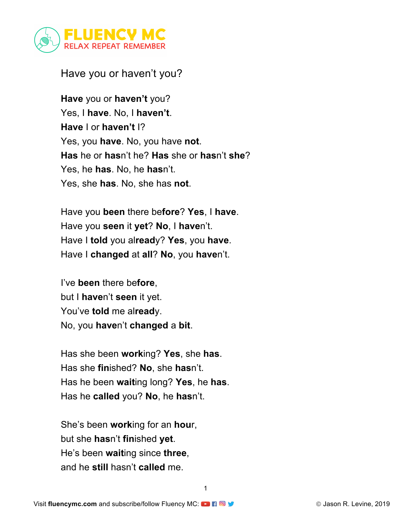

## Have you or haven't you?

**Have** you or **haven't** you? Yes, I **have**. No, I **haven't**. **Have** I or **haven't** I? Yes, you **have**. No, you have **not**. **Has** he or **has**n't he? **Has** she or **has**n't **she**? Yes, he **has**. No, he **has**n't. Yes, she **has**. No, she has **not**.

Have you **been** there be**fore**? **Yes**, I **have**. Have you **seen** it **yet**? **No**, I **have**n't. Have I **told** you al**read**y? **Yes**, you **have**. Have I **changed** at **all**? **No**, you **have**n't.

I've **been** there be**fore**, but I **have**n't **seen** it yet. You've **told** me al**read**y. No, you **have**n't **changed** a **bit**.

Has she been **work**ing? **Yes**, she **has**. Has she **fin**ished? **No**, she **has**n't. Has he been **wait**ing long? **Yes**, he **has**. Has he **called** you? **No**, he **has**n't.

She's been **work**ing for an **hou**r, but she **has**n't **fin**ished **yet**. He's been **wait**ing since **three**, and he **still** hasn't **called** me.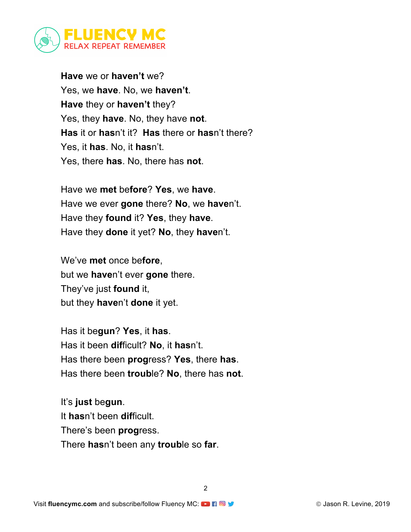

**Have** we or **haven't** we? Yes, we **have**. No, we **haven't**. **Have** they or **haven't** they? Yes, they **have**. No, they have **not**. **Has** it or **has**n't it? **Has** there or **has**n't there? Yes, it **has**. No, it **has**n't. Yes, there **has**. No, there has **not**.

Have we **met** be**fore**? **Yes**, we **have**. Have we ever **gone** there? **No**, we **have**n't. Have they **found** it? **Yes**, they **have**. Have they **done** it yet? **No**, they **have**n't.

We've **met** once be**fore**, but we **have**n't ever **gone** there. They've just **found** it, but they **have**n't **done** it yet.

Has it be**gun**? **Yes**, it **has**. Has it been **dif**ficult? **No**, it **has**n't. Has there been **prog**ress? **Yes**, there **has**. Has there been **troub**le? **No**, there has **not**.

It's **just** be**gun**. It **has**n't been **dif**ficult. There's been **prog**ress. There **has**n't been any **troub**le so **far**.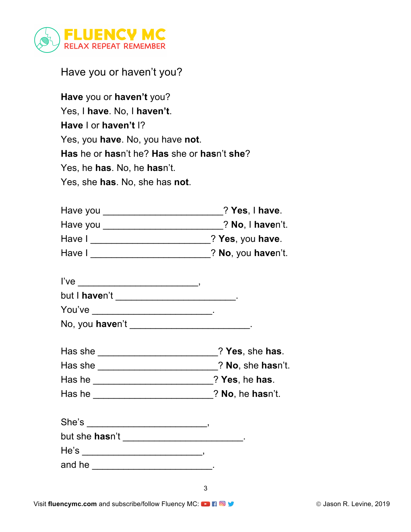

Have you or haven't you?

| Have you or haven't you?                    |
|---------------------------------------------|
| Yes, I have. No, I haven't.                 |
| Have I or haven't I?                        |
| Yes, you have. No, you have not.            |
| Has he or hasn't he? Has she or hasn't she? |
| Yes, he has. No, he hasn't.                 |
| Yes, she has. No, she has not.              |

| Have you | $?$ Yes, I have.   |
|----------|--------------------|
| Have you | ? No, I haven't.   |
| Have I   | ? Yes, you have.   |
| Have I   | ? No, you haven't. |

| l've          |  |
|---------------|--|
| but I haven't |  |
| You've        |  |

| No, you haven't |  |
|-----------------|--|
|                 |  |

| Has she |  | ? Yes, she has. |
|---------|--|-----------------|
|---------|--|-----------------|

| Has she |  | ? No, she hasn't. |  |
|---------|--|-------------------|--|
|         |  |                   |  |

| Has he |  | ? Yes, he has. |  |
|--------|--|----------------|--|
|        |  |                |  |

| Has he | ? No, he hasn't. |
|--------|------------------|
|        |                  |

| She's          |  |
|----------------|--|
| but she hasn't |  |

He's \_\_\_\_\_\_\_\_\_\_\_\_\_\_\_\_\_\_\_\_\_\_\_\_\_\_\_\_\_\_\_\_,

and he \_\_\_\_\_\_\_\_\_\_\_\_\_\_\_\_\_\_\_\_\_\_\_\_\_\_\_\_\_\_.